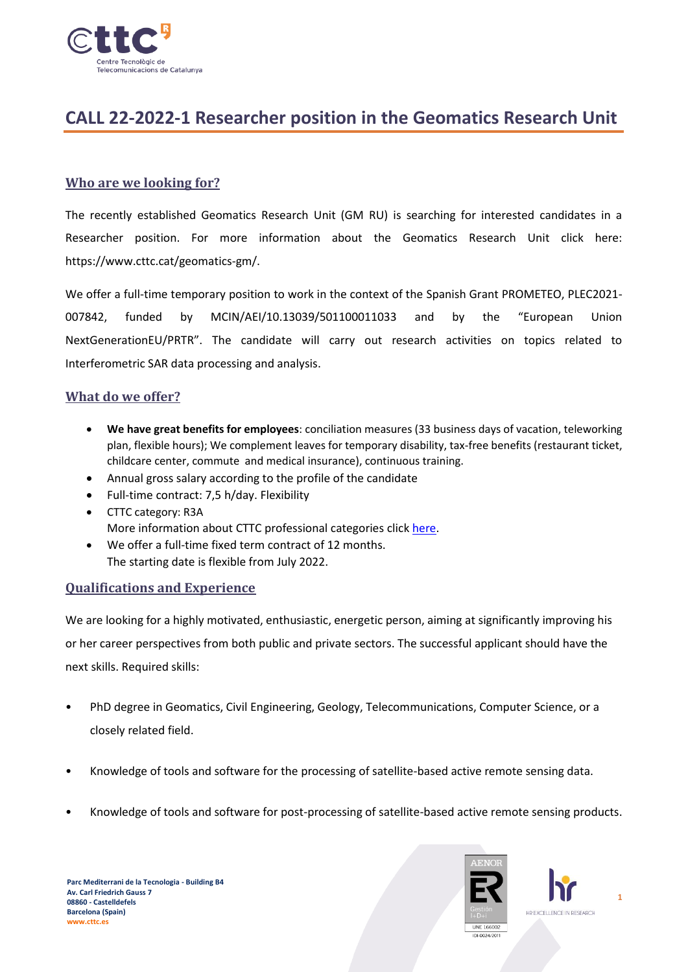

# **CALL 22-2022-1 Researcher position in the Geomatics Research Unit**

## **Who are we looking for?**

The recently established Geomatics Research Unit (GM RU) is searching for interested candidates in a Researcher position. For more information about the Geomatics Research Unit click here: https://www.cttc.cat/geomatics-gm/.

We offer a full-time temporary position to work in the context of the Spanish Grant PROMETEO, PLEC2021- 007842, funded by MCIN/AEI/10.13039/501100011033 and by the "European Union NextGenerationEU/PRTR". The candidate will carry out research activities on topics related to Interferometric SAR data processing and analysis.

#### **What do we offer?**

- **We have great benefits for employees**: conciliation measures (33 business days of vacation, teleworking plan, flexible hours); We complement leaves for temporary disability, tax-free benefits (restaurant ticket, childcare center, commute and medical insurance), continuous training.
- Annual gross salary according to the profile of the candidate
- Full-time contract: 7,5 h/day. Flexibility
- CTTC category: R3A More information about CTTC professional categories click [here.](https://www.cttc.cat/wp-content/uploads/2022/02/CTTC-Professional-categories.pdf)
- We offer a full-time fixed term contract of 12 months. The starting date is flexible from July 2022.

### **Qualifications and Experience**

We are looking for a highly motivated, enthusiastic, energetic person, aiming at significantly improving his or her career perspectives from both public and private sectors. The successful applicant should have the next skills. Required skills:

- PhD degree in Geomatics, Civil Engineering, Geology, Telecommunications, Computer Science, or a closely related field.
- Knowledge of tools and software for the processing of satellite-based active remote sensing data.
- Knowledge of tools and software for post-processing of satellite-based active remote sensing products.



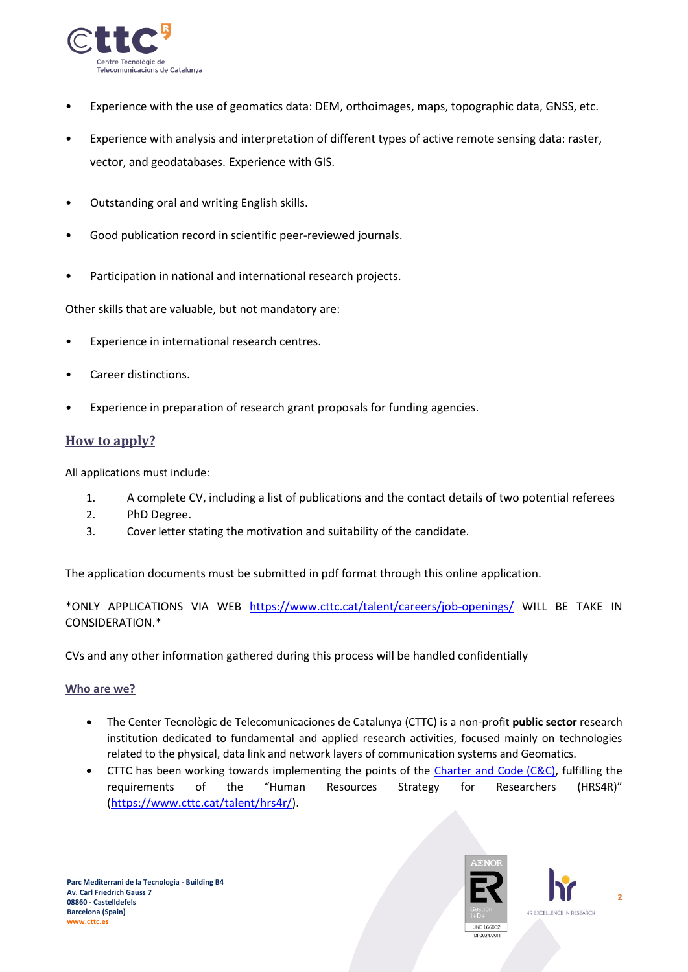

- Experience with the use of geomatics data: DEM, orthoimages, maps, topographic data, GNSS, etc.
- Experience with analysis and interpretation of different types of active remote sensing data: raster, vector, and geodatabases. Experience with GIS.
- Outstanding oral and writing English skills.
- Good publication record in scientific peer-reviewed journals.
- Participation in national and international research projects.

Other skills that are valuable, but not mandatory are:

- Experience in international research centres.
- Career distinctions.
- Experience in preparation of research grant proposals for funding agencies.

# **How to apply?**

All applications must include:

- 1. A complete CV, including a list of publications and the contact details of two potential referees
- 2. PhD Degree.
- 3. Cover letter stating the motivation and suitability of the candidate.

The application documents must be submitted in pdf format through this online application.

\*ONLY APPLICATIONS VIA WEB <https://www.cttc.cat/talent/careers/job-openings/> WILL BE TAKE IN CONSIDERATION.\*

CVs and any other information gathered during this process will be handled confidentially

#### **Who are we?**

- The Center Tecnològic de Telecomunicaciones de Catalunya (CTTC) is a non-profit **public sector** research institution dedicated to fundamental and applied research activities, focused mainly on technologies related to the physical, data link and network layers of communication systems and Geomatics.
- CTTC has been working towards implementing the points of the [Charter and Code \(C&C\),](https://euraxess.ec.europa.eu/jobs/charter-code-researchers) fulfilling the requirements of the "Human Resources Strategy for Researchers (HRS4R)" [\(https://www.cttc.cat/talent/hrs4r/\)](https://www.cttc.cat/talent/hrs4r/).



**2**